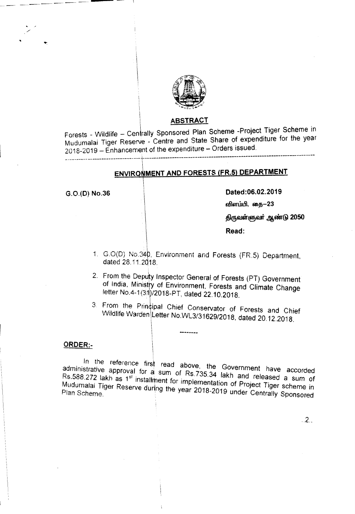

## **ABSTRACT**

Forests - Wildlife - Centrally Sponsored Plan Scheme - Project Tiger Scheme in Mudumalai Tiger Reserve - Centre and State Share of expenditure for the year 2018-2019 - Enhancement of the expenditure - Orders issued.

# ENVIRONMENT AND FORESTS (FR.5) DEPARTMENT

G.O.(D) No.36

Dated:06.02.2019

விளம்பி, தை-23

திருவள்ளுவர் ஆண்டு 2050

Read:

- 1. G.O(D) No.340, Environment and Forests (FR.5) Department, dated 28.11.2018.
- 2. From the Deputy Inspector General of Forests (PT) Government of India, Ministry of Environment, Forests and Climate Change letter No.4-1(31)/2018-PT, dated 22.10.2018.
- 3. From the Principal Chief Conservator of Forests and Chief Wildlife Warden Letter No.WL3/31629/2018, dated 20.12.2018.

# ORDER:-

In the reference first read above, the Government have accorded administrative approval for a sum of Rs.735.34 lakh and released a sum of Rs.588.272 lakh as 1<sup>st</sup> installment for implementation of Project Tiger scheme in Mudumalai Tiger Reserve during the year 2018-2019 under Centrally Sponsored

 $2.2$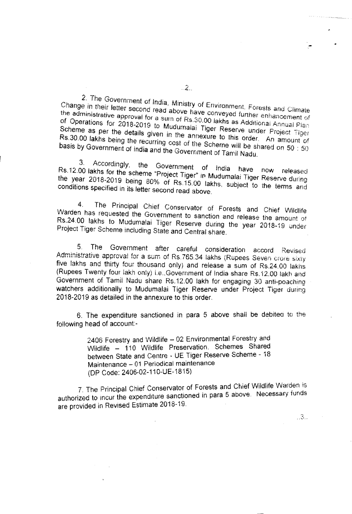2. The Government of India, Ministry of Environment, Forests and Climate Change in their letter second read above have conveyed further enhancement of the administrative approval for a sum of Rs.30.00 lakhs as Additional Annual Plan of Operations for 2018-2019 to Mudumalai Tiger Reserve under Project Tiger Scheme as per the details given in the annexure to this order. An amount of Rs.30.00 lakhs being the recurring cost of the Scheme will be shared on 50 : 50 basis by Government of India and the Government of Tamil Nadu.

3. Accordingly, the Government of India have Rs.12.00 lakhs for the scheme "Project Tiger" in Mudumalai Tiger Reserve during the year 2018-2019 being 80% of Rs.15.00 lakhs, subject to the terms and conditions specified in its letter second read above.

4. The Principal Chief Conservator of Forests and Chief Wildlife Warden has requested the Government to sanction and release the amount of Rs.24.00 lakhs to Mudumalai Tiger Reserve during the year 2018-19 under Project Tiger Scheme including State and Central share.

The Government after careful consideration accord 5. Revised Administrative approval for a sum of Rs.765.34 lakhs (Rupees Seven crore sixty five lakhs and thirty four thousand only) and release a sum of Rs.24.00 lakhs (Rupees Twenty four lakh only) i.e. Government of India share Rs.12.00 lakh and Government of Tamil Nadu share Rs.12.00 lakh for engaging 30 anti-poaching watchers additionally to Mudumalai Tiger Reserve under Project Tiger during 2018-2019 as detailed in the annexure to this order.

6. The expenditure sanctioned in para 5 above shall be debited to the following head of account:-

> 2406 Forestry and Wildlife - 02 Environmental Forestry and Wildlife - 110 Wildlife Preservation. Schemes Shared between State and Centre - UE Tiger Reserve Scheme - 18 Maintenance - 01 Periodical maintenance (DP Code: 2406-02-110-UE-1815)

7. The Principal Chief Conservator of Forests and Chief Wildlife Warden is authorized to incur the expenditure sanctioned in para 5 above. Necessary funds are provided in Revised Estimate 2018-19.

 $\mathbb{R}$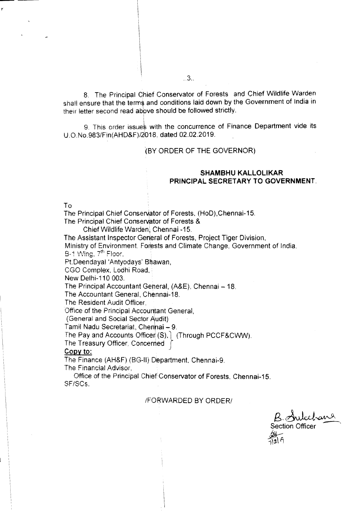8. The Principal qhief Conservator of Forests and Chief Wildlife Warden shall ensure that the terms and conditions laid down by the Government of India in their letter second read above should be followed strictly.

9. This order issues with the concurrence of Finance Department vide its U.O.No.983/Fin(AHD&F)/2018, dated 02.02.2019.

#### '(BY ORDER OF THE GOVERNOR)

## **SHAMBHU KALLOLIKAR PRINCIPAL SECRETARY TO GOVERNMENT.**

To

The Principal Chief Conservator of Forests, (HoD),Chennai-15.

The Principal Chief Conservator of Forests &

Chief Wildlife Warden; Chennai -15.

The Assistant Inspector General of Forests, Project Tiger Division,

Ministry of Environment, Forests and Climate Change, Government of India, B-1 Wing, 7<sup>th</sup> Floor,

Pt.Deendayal'Antyodays' Bhawan,

CGO Complex. Lodhi Road,

New Delhi-110 003.

The Principal Accountant Geheral, (A&E), Chennai - 18.

The Accountant General, Chennai-18.

The Resident Audit Officer.

Office of the Principal Accountant General,

(General and Social Sector Audit)

Tamil Nadu Secretariat, Chennai - 9.

The Pay and Accounts Officer (S). (Through PCCF&CWW).

The Treasury Officer, Concerned *r*

#### Copy to:

The Finance (AH&F) (BG-II) Department. Chennai-9.

The Financial Advisor,

Office of the Principal Chiet'Conservator of Forests, Chennai-15. SF/SCs.

**IFORWARDED BY ORDER/** 

Section Officer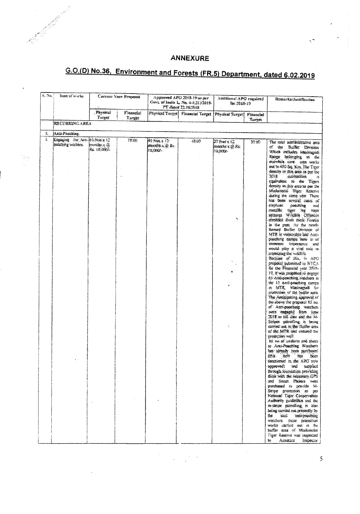# **ANNEXURE**

yn.

# G.O.(D) No.36, Environment and Forests (FR.5) Department, dated 6.02.2019

| $S.$ No.<br>ftern of works          | Current Year Proposol       |                     | Approved APO 2018-19 as per-<br>Govt. of India L. No. 4-1(31)/2018-<br>PT dated 22, 19:2018 |                  | Additional APO required<br>for $2013 - 19$ |               | Remarks/Justification.                                                                                                                                                            |
|-------------------------------------|-----------------------------|---------------------|---------------------------------------------------------------------------------------------|------------------|--------------------------------------------|---------------|-----------------------------------------------------------------------------------------------------------------------------------------------------------------------------------|
|                                     | Physical<br>Tacget          | Financial<br>Targer | Physical Target!                                                                            | Financial Larget | Physical Target                            | Financial     |                                                                                                                                                                                   |
| <b>RECURRING AREA</b>               |                             |                     |                                                                                             |                  |                                            | <b>Lurget</b> |                                                                                                                                                                                   |
| Т.<br>Anti-Poaching.                |                             |                     |                                                                                             |                  |                                            |               |                                                                                                                                                                                   |
| K<br>Engaging the Anti-le5.Nos x 12 |                             | 28.00.              | 40 Nos x 12°                                                                                | 43.90            | 25 Nes x 12                                | 30.90         | The total administrative and                                                                                                                                                      |
| poaching workers.                   | months x di<br>Rs. 10,0007- |                     | months x & Rs.<br>19,000/-                                                                  |                  | months:x to Rs.<br>3G.DOZ                  |               | of the Buffer Division<br>Which includes Masinagudi<br>Range beforiging to the<br>erstwhile core area works                                                                       |
|                                     |                             |                     |                                                                                             |                  |                                            |               | out to 450 Sq. Km. The Tiger<br>density in this area as per the<br>2018<br>estimations<br>equivalent to the Tigers<br>density in this area as per the<br>Mudurialai Tige: Reserve |
|                                     |                             |                     |                                                                                             |                  |                                            |               | during the same year. There<br>has been several cases of<br>elephant.<br>poaching<br>and<br>metallic tiger leg traps<br>seizures Wildlife Offences                                |
|                                     |                             |                     |                                                                                             |                  | Ÿ                                          |               | recorded from these Forests<br>in the past. As the newly<br>formed Buller Division of<br>MTR is vulnerable and Aun-<br>peaching camps here is of                                  |
|                                     |                             |                     |                                                                                             |                  |                                            |               | immense importance and<br>would play a vital cole in<br>protecting the wikilife.<br>Because of this, in APO<br>proposal submitted to NTCA                                         |
|                                     |                             |                     |                                                                                             |                  |                                            |               | for the Financial year 2018-<br>19. if was propheed to engage<br>65 Anti-poaching watchers at<br>the 13 Anti-poaching camps<br>in MTR, Masinagueli for                            |
|                                     |                             |                     |                                                                                             |                  |                                            |               | protection of the buffer area.<br>The Antiquating approval of<br>the above the proposal 65 no.<br>of Anti-poaching watchers<br>were engaged from lone                             |
|                                     |                             |                     |                                                                                             |                  |                                            |               | 2018 to till date and the M-<br>Stripes patrolling is being<br>carried out in the Bigfier area<br>of the MTR and ensured the<br>protection well.                                  |
|                                     |                             |                     |                                                                                             |                  |                                            |               | 65 no of uniform and shoes<br>to Anti-Poaching Watchers<br>has already been purchased<br>$f$ this<br>item<br>-lias<br>been                                                        |
|                                     |                             |                     |                                                                                             |                  |                                            |               | sanctioned in the APO now<br>approved) and supplied<br>through foundation providing<br>their with the necessary GPS<br>and Smart Phones were                                      |
|                                     | $\mathbb{Z}^n$ .            |                     |                                                                                             |                  |                                            |               | purchased to pravide M-<br>Stripe protection as per<br>National Tiger Conservation<br>Authority guidelines and the<br>m-stripe gatrolling is also                                 |
|                                     |                             |                     |                                                                                             |                  |                                            |               | being carried out presently by<br>said unti-pooching<br>the<br>warchers, these protection<br>works carried out in the                                                             |
|                                     |                             |                     |                                                                                             |                  |                                            |               | bufter area of Medimakii<br>Tiger Reserve was inspected<br>Assistant<br>b٧<br>Inspector                                                                                           |

 $\label{eq:2.1} \frac{1}{2}\sum_{i=1}^N\frac{1}{2}\sum_{j=1}^N\frac{1}{2}\sum_{j=1}^N\frac{1}{2}\sum_{j=1}^N\frac{1}{2}\sum_{j=1}^N\frac{1}{2}\sum_{j=1}^N\frac{1}{2}\sum_{j=1}^N\frac{1}{2}\sum_{j=1}^N\frac{1}{2}\sum_{j=1}^N\frac{1}{2}\sum_{j=1}^N\frac{1}{2}\sum_{j=1}^N\frac{1}{2}\sum_{j=1}^N\frac{1}{2}\sum_{j=1}^N\frac{1}{2}\sum_{j=1}^N\$ 

 $\bar{5}$ 

 $\mathbb{R}^2$